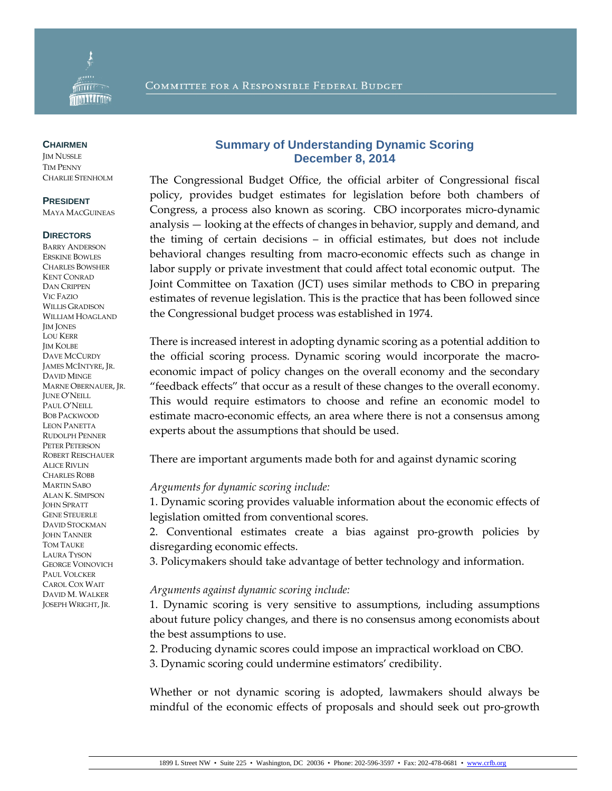

#### **CHAIRMEN**

**IM NUSSLE** TIM PENNY CHARLIE STENHOLM

### **PRESIDENT**

MAYA MACGUINEAS

#### **DIRECTORS**

BARRY ANDERSON ERSKINE BOWLES CHARLES BOWSHER KENT CONRAD DAN CRIPPEN VIC FAZIO WILLIS GRADISON WILLIAM HOAGLAND JIM JONES LOU KERR **IM KOLBE** DAVE MCCURDY JAMES MCINTYRE, JR. DAVID MINGE MARNE OBERNAUER, JR. JUNE O'NEILL PAUL O'NEILL BOB PACKWOOD LEON PANETTA RUDOLPH PENNER PETER PETERSON ROBERT REISCHAUER ALICE RIVLIN CHARLES ROBB MARTIN SABO ALAN K. SIMPSON JOHN SPRATT GENE STEUERLE DAVID STOCKMAN JOHN TANNER TOM TAUKE LAURA TYSON GEORGE VOINOVICH PAUL VOLCKER CAROL COX WAIT DAVID M. WALKER JOSEPH WRIGHT, JR.

## **Summary of Understanding Dynamic Scoring December 8, 2014**

The Congressional Budget Office, the official arbiter of Congressional fiscal policy, provides budget estimates for legislation before both chambers of Congress, a process also known as scoring. CBO incorporates micro-dynamic analysis — looking at the effects of changes in behavior, supply and demand, and the timing of certain decisions – in official estimates, but does not include behavioral changes resulting from macro-economic effects such as change in labor supply or private investment that could affect total economic output. The Joint Committee on Taxation (JCT) uses similar methods to CBO in preparing estimates of revenue legislation. This is the practice that has been followed since the Congressional budget process was established in 1974.

There is increased interest in adopting dynamic scoring as a potential addition to the official scoring process. Dynamic scoring would incorporate the macroeconomic impact of policy changes on the overall economy and the secondary "feedback effects" that occur as a result of these changes to the overall economy. This would require estimators to choose and refine an economic model to estimate macro-economic effects, an area where there is not a consensus among experts about the assumptions that should be used.

There are important arguments made both for and against dynamic scoring

## *Arguments for dynamic scoring include:*

1. Dynamic scoring provides valuable information about the economic effects of legislation omitted from conventional scores.

2. Conventional estimates create a bias against pro-growth policies by disregarding economic effects.

3. Policymakers should take advantage of better technology and information.

## *Arguments against dynamic scoring include:*

1. Dynamic scoring is very sensitive to assumptions, including assumptions about future policy changes, and there is no consensus among economists about the best assumptions to use.

2. Producing dynamic scores could impose an impractical workload on CBO.

3. Dynamic scoring could undermine estimators' credibility.

Whether or not dynamic scoring is adopted, lawmakers should always be mindful of the economic effects of proposals and should seek out pro-growth